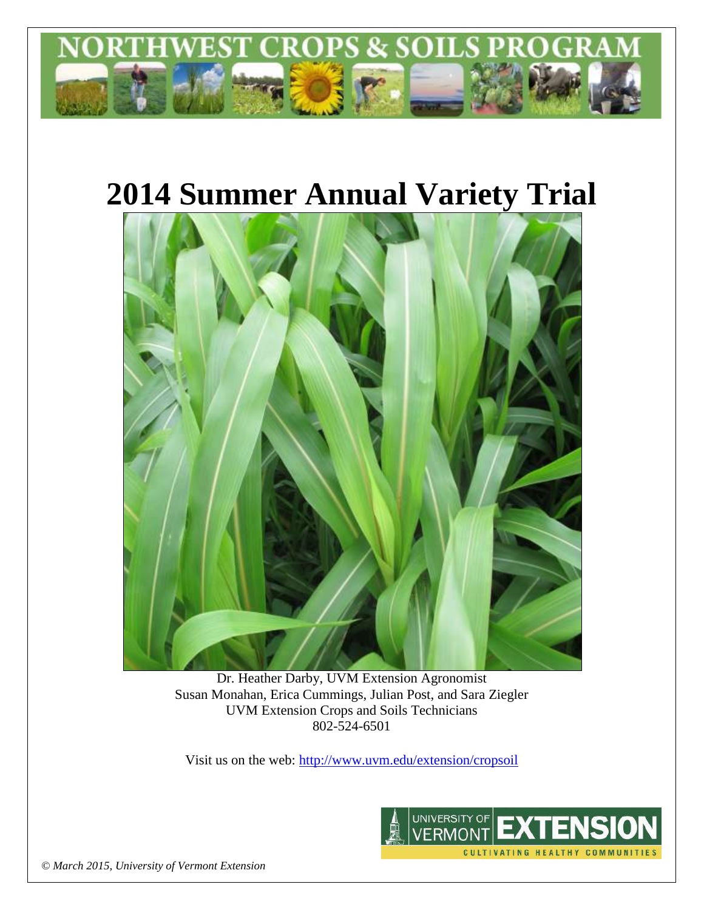

# **2014 Summer Annual Variety Trial**



Dr. Heather Darby, UVM Extension Agronomist Susan Monahan, Erica Cummings, Julian Post, and Sara Ziegler UVM Extension Crops and Soils Technicians 802-524-6501

Visit us on the web: <http://www.uvm.edu/extension/cropsoil>



*© March 2015, University of Vermont Extension*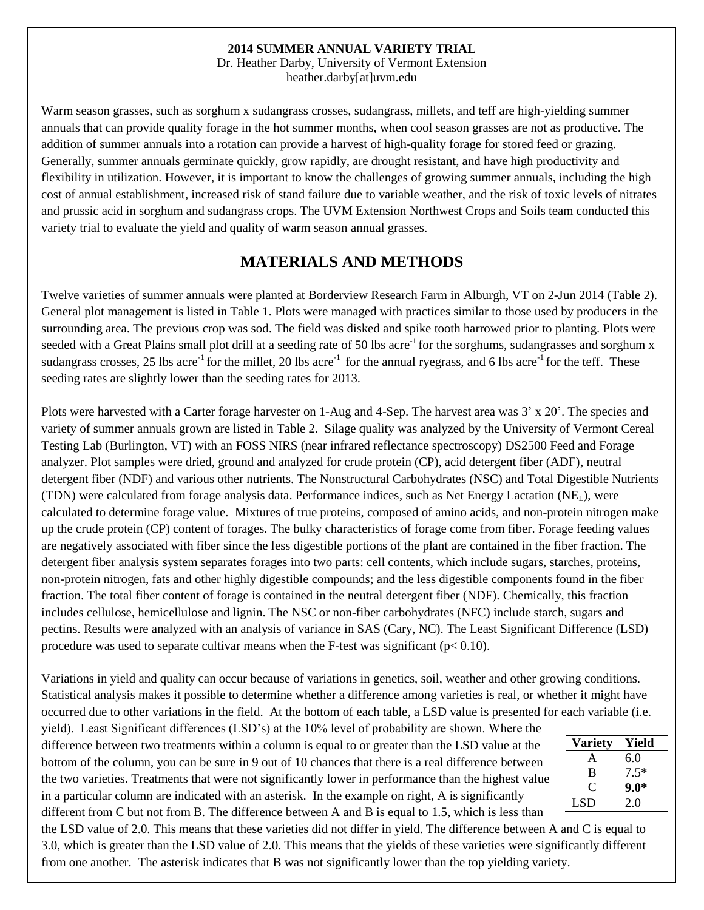#### **2014 SUMMER ANNUAL VARIETY TRIAL**

Dr. Heather Darby, University of Vermont Extension heather.darby[at]uvm.edu

Warm season grasses, such as sorghum x sudangrass crosses, sudangrass, millets, and teff are high-yielding summer annuals that can provide quality forage in the hot summer months, when cool season grasses are not as productive. The addition of summer annuals into a rotation can provide a harvest of high-quality forage for stored feed or grazing. Generally, summer annuals germinate quickly, grow rapidly, are drought resistant, and have high productivity and flexibility in utilization. However, it is important to know the challenges of growing summer annuals, including the high cost of annual establishment, increased risk of stand failure due to variable weather, and the risk of toxic levels of nitrates and prussic acid in sorghum and sudangrass crops. The UVM Extension Northwest Crops and Soils team conducted this variety trial to evaluate the yield and quality of warm season annual grasses.

#### **MATERIALS AND METHODS**

Twelve varieties of summer annuals were planted at Borderview Research Farm in Alburgh, VT on 2-Jun 2014 (Table 2). General plot management is listed in Table 1. Plots were managed with practices similar to those used by producers in the surrounding area. The previous crop was sod. The field was disked and spike tooth harrowed prior to planting. Plots were seeded with a Great Plains small plot drill at a seeding rate of 50 lbs acre<sup>-1</sup> for the sorghums, sudangrasses and sorghum x sudangrass crosses, 25 lbs acre<sup>-1</sup> for the millet, 20 lbs acre<sup>-1</sup> for the annual ryegrass, and 6 lbs acre<sup>-1</sup> for the teff. These seeding rates are slightly lower than the seeding rates for 2013.

Plots were harvested with a Carter forage harvester on 1-Aug and 4-Sep. The harvest area was 3' x 20'. The species and variety of summer annuals grown are listed in Table 2. Silage quality was analyzed by the University of Vermont Cereal Testing Lab (Burlington, VT) with an FOSS NIRS (near infrared reflectance spectroscopy) DS2500 Feed and Forage analyzer. Plot samples were dried, ground and analyzed for crude protein (CP), acid detergent fiber (ADF), neutral detergent fiber (NDF) and various other nutrients. The Nonstructural Carbohydrates (NSC) and Total Digestible Nutrients (TDN) were calculated from forage analysis data. Performance indices, such as Net Energy Lactation (NEL), were calculated to determine forage value. Mixtures of true proteins, composed of amino acids, and non-protein nitrogen make up the crude protein (CP) content of forages. The bulky characteristics of forage come from fiber. Forage feeding values are negatively associated with fiber since the less digestible portions of the plant are contained in the fiber fraction. The detergent fiber analysis system separates forages into two parts: cell contents, which include sugars, starches, proteins, non-protein nitrogen, fats and other highly digestible compounds; and the less digestible components found in the fiber fraction. The total fiber content of forage is contained in the neutral detergent fiber (NDF). Chemically, this fraction includes cellulose, hemicellulose and lignin. The NSC or non-fiber carbohydrates (NFC) include starch, sugars and pectins. Results were analyzed with an analysis of variance in SAS (Cary, NC). The Least Significant Difference (LSD) procedure was used to separate cultivar means when the F-test was significant ( $p < 0.10$ ).

Variations in yield and quality can occur because of variations in genetics, soil, weather and other growing conditions. Statistical analysis makes it possible to determine whether a difference among varieties is real, or whether it might have occurred due to other variations in the field. At the bottom of each table, a LSD value is presented for each variable (i.e.

yield). Least Significant differences (LSD's) at the 10% level of probability are shown. Where the difference between two treatments within a column is equal to or greater than the LSD value at the bottom of the column, you can be sure in 9 out of 10 chances that there is a real difference between the two varieties. Treatments that were not significantly lower in performance than the highest value in a particular column are indicated with an asterisk. In the example on right, A is significantly different from C but not from B. The difference between A and B is equal to 1.5, which is less than

**Variety Yield** A 6.0 B 7.5\* C **9.0\***  $LSD$  2.0

the LSD value of 2.0. This means that these varieties did not differ in yield. The difference between A and C is equal to 3.0, which is greater than the LSD value of 2.0. This means that the yields of these varieties were significantly different from one another. The asterisk indicates that B was not significantly lower than the top yielding variety.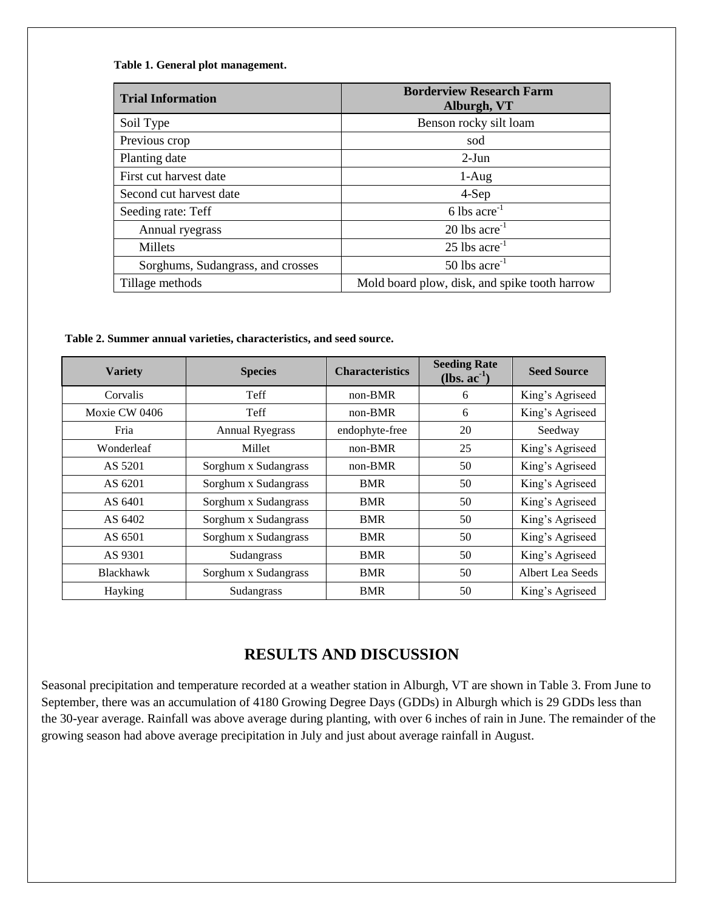**Table 1. General plot management.**

| <b>Trial Information</b>          | <b>Borderview Research Farm</b><br>Alburgh, VT |
|-----------------------------------|------------------------------------------------|
| Soil Type                         | Benson rocky silt loam                         |
| Previous crop                     | sod                                            |
| Planting date                     | $2-J$ un                                       |
| First cut harvest date            | $1-Aug$                                        |
| Second cut harvest date           | 4-Sep                                          |
| Seeding rate: Teff                | 6 lbs $\arccos 6$                              |
| Annual ryegrass                   | $20$ lbs $\arccos 2$                           |
| Millets                           | $25$ lbs acre <sup>-1</sup>                    |
| Sorghums, Sudangrass, and crosses | $50$ lbs acre <sup>-1</sup>                    |
| Tillage methods                   | Mold board plow, disk, and spike tooth harrow  |

**Table 2. Summer annual varieties, characteristics, and seed source.** 

| <b>Variety</b>   | <b>Species</b>         | <b>Characteristics</b> | <b>Seeding Rate</b><br>$(lbs. ac-1)$ | <b>Seed Source</b> |
|------------------|------------------------|------------------------|--------------------------------------|--------------------|
| Corvalis         | Teff                   | $non-BMR$              | 6                                    | King's Agriseed    |
| Moxie CW 0406    | Teff                   | $non-BMR$              | 6                                    | King's Agriseed    |
| Fria             | <b>Annual Ryegrass</b> | endophyte-free         | 20                                   | Seedway            |
| Wonderleaf       | Millet                 | $non-BMR$              | 25                                   | King's Agriseed    |
| AS 5201          | Sorghum x Sudangrass   | $non-BMR$              | 50                                   | King's Agriseed    |
| AS 6201          | Sorghum x Sudangrass   | BMR                    | 50                                   | King's Agriseed    |
| AS 6401          | Sorghum x Sudangrass   | BMR                    | 50                                   | King's Agriseed    |
| AS 6402          | Sorghum x Sudangrass   | <b>BMR</b>             | 50                                   | King's Agriseed    |
| AS 6501          | Sorghum x Sudangrass   | <b>BMR</b>             | 50                                   | King's Agriseed    |
| AS 9301          | Sudangrass             | <b>BMR</b>             | 50                                   | King's Agriseed    |
| <b>Blackhawk</b> | Sorghum x Sudangrass   | <b>BMR</b>             | 50                                   | Albert Lea Seeds   |
| Hayking          | Sudangrass             | <b>BMR</b>             | 50                                   | King's Agriseed    |

### **RESULTS AND DISCUSSION**

Seasonal precipitation and temperature recorded at a weather station in Alburgh, VT are shown in Table 3. From June to September, there was an accumulation of 4180 Growing Degree Days (GDDs) in Alburgh which is 29 GDDs less than the 30-year average. Rainfall was above average during planting, with over 6 inches of rain in June. The remainder of the growing season had above average precipitation in July and just about average rainfall in August.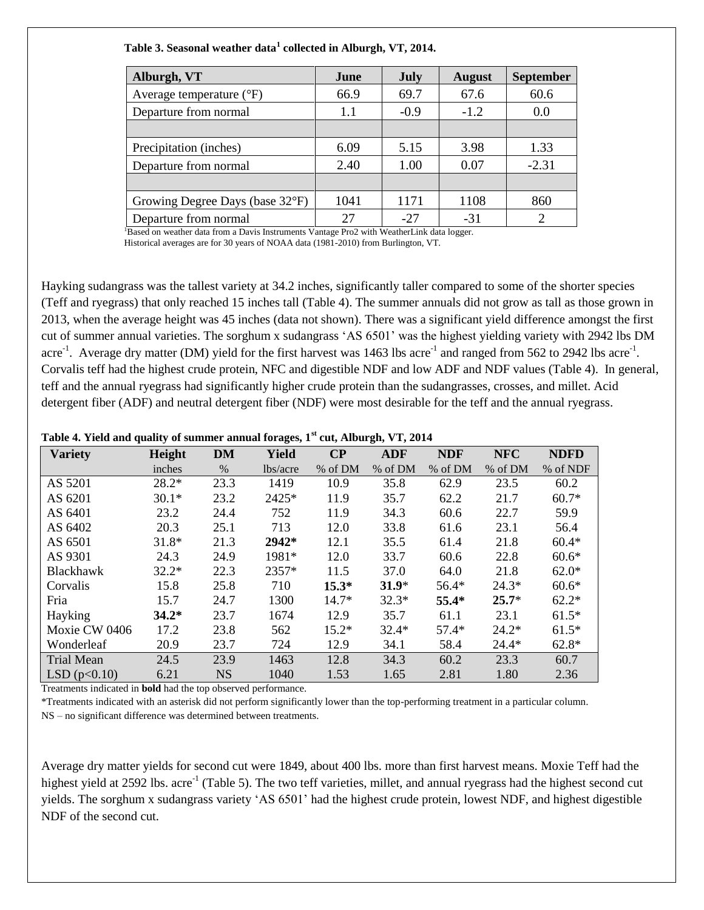| Table 3. Seasonal weather data <sup>1</sup> collected in Alburgh, VT, 2014. |  |
|-----------------------------------------------------------------------------|--|
|-----------------------------------------------------------------------------|--|

| Alburgh, VT                       | June | <b>July</b> | <b>August</b> | <b>September</b> |
|-----------------------------------|------|-------------|---------------|------------------|
| Average temperature $(^{\circ}F)$ | 66.9 | 69.7        | 67.6          | 60.6             |
| Departure from normal             | 1.1  | $-0.9$      | $-1.2$        | 0.0              |
|                                   |      |             |               |                  |
| Precipitation (inches)            | 6.09 | 5.15        | 3.98          | 1.33             |
| Departure from normal             | 2.40 | 1.00        | 0.07          | $-2.31$          |
|                                   |      |             |               |                  |
| Growing Degree Days (base 32°F)   | 1041 | 1171        | 1108          | 860              |
| Departure from normal             | 27   | $-27$       | $-31$         |                  |
|                                   |      |             |               |                  |

Based on weather data from a Davis Instruments Vantage Pro2 with WeatherLink data logger. Historical averages are for 30 years of NOAA data (1981-2010) from Burlington, VT.

Hayking sudangrass was the tallest variety at 34.2 inches, significantly taller compared to some of the shorter species (Teff and ryegrass) that only reached 15 inches tall (Table 4). The summer annuals did not grow as tall as those grown in 2013, when the average height was 45 inches (data not shown). There was a significant yield difference amongst the first cut of summer annual varieties. The sorghum x sudangrass 'AS 6501' was the highest yielding variety with 2942 lbs DM acre<sup>-1</sup>. Average dry matter (DM) yield for the first harvest was 1463 lbs acre<sup>-1</sup> and ranged from 562 to 2942 lbs acre<sup>-1</sup>. Corvalis teff had the highest crude protein, NFC and digestible NDF and low ADF and NDF values (Table 4). In general, teff and the annual ryegrass had significantly higher crude protein than the sudangrasses, crosses, and millet. Acid detergent fiber (ADF) and neutral detergent fiber (NDF) were most desirable for the teff and the annual ryegrass.

| Table 4. Yield and quality of summer annual forages, 1st cut, Alburgh, VT, 2014 |  |  |  |  |  |  |  |  |  |  |
|---------------------------------------------------------------------------------|--|--|--|--|--|--|--|--|--|--|
|---------------------------------------------------------------------------------|--|--|--|--|--|--|--|--|--|--|

| <b>Variety</b>    | Height  | <b>DM</b> | Yield    | $\bf CP$ | <b>ADF</b> | <b>NDF</b> | <b>NFC</b> | <b>NDFD</b> |
|-------------------|---------|-----------|----------|----------|------------|------------|------------|-------------|
|                   | inches  | $\%$      | lbs/acre | % of DM  | % of DM    | % of DM    | % of DM    | % of NDF    |
| AS 5201           | $28.2*$ | 23.3      | 1419     | 10.9     | 35.8       | 62.9       | 23.5       | 60.2        |
| AS 6201           | $30.1*$ | 23.2      | 2425*    | 11.9     | 35.7       | 62.2       | 21.7       | $60.7*$     |
| AS 6401           | 23.2    | 24.4      | 752      | 11.9     | 34.3       | 60.6       | 22.7       | 59.9        |
| AS 6402           | 20.3    | 25.1      | 713      | 12.0     | 33.8       | 61.6       | 23.1       | 56.4        |
| AS 6501           | $31.8*$ | 21.3      | 2942*    | 12.1     | 35.5       | 61.4       | 21.8       | $60.4*$     |
| AS 9301           | 24.3    | 24.9      | 1981*    | 12.0     | 33.7       | 60.6       | 22.8       | $60.6*$     |
| Blackhawk         | $32.2*$ | 22.3      | 2357*    | 11.5     | 37.0       | 64.0       | 21.8       | $62.0*$     |
| Corvalis          | 15.8    | 25.8      | 710      | $15.3*$  | $31.9*$    | $56.4*$    | $24.3*$    | $60.6*$     |
| Fria              | 15.7    | 24.7      | 1300     | $14.7*$  | $32.3*$    | 55.4*      | $25.7*$    | $62.2*$     |
| Hayking           | $34.2*$ | 23.7      | 1674     | 12.9     | 35.7       | 61.1       | 23.1       | $61.5*$     |
| Moxie CW 0406     | 17.2    | 23.8      | 562      | $15.2*$  | $32.4*$    | $57.4*$    | $24.2*$    | $61.5*$     |
| Wonderleaf        | 20.9    | 23.7      | 724      | 12.9     | 34.1       | 58.4       | $24.4*$    | $62.8*$     |
| <b>Trial Mean</b> | 24.5    | 23.9      | 1463     | 12.8     | 34.3       | 60.2       | 23.3       | 60.7        |
| LSD(p<0.10)       | 6.21    | NS        | 1040     | 1.53     | 1.65       | 2.81       | 1.80       | 2.36        |

Treatments indicated in **bold** had the top observed performance.

\*Treatments indicated with an asterisk did not perform significantly lower than the top-performing treatment in a particular column.

NS – no significant difference was determined between treatments.

Average dry matter yields for second cut were 1849, about 400 lbs. more than first harvest means. Moxie Teff had the highest yield at 2592 lbs. acre<sup>-1</sup> (Table 5). The two teff varieties, millet, and annual ryegrass had the highest second cut yields. The sorghum x sudangrass variety 'AS 6501' had the highest crude protein, lowest NDF, and highest digestible NDF of the second cut.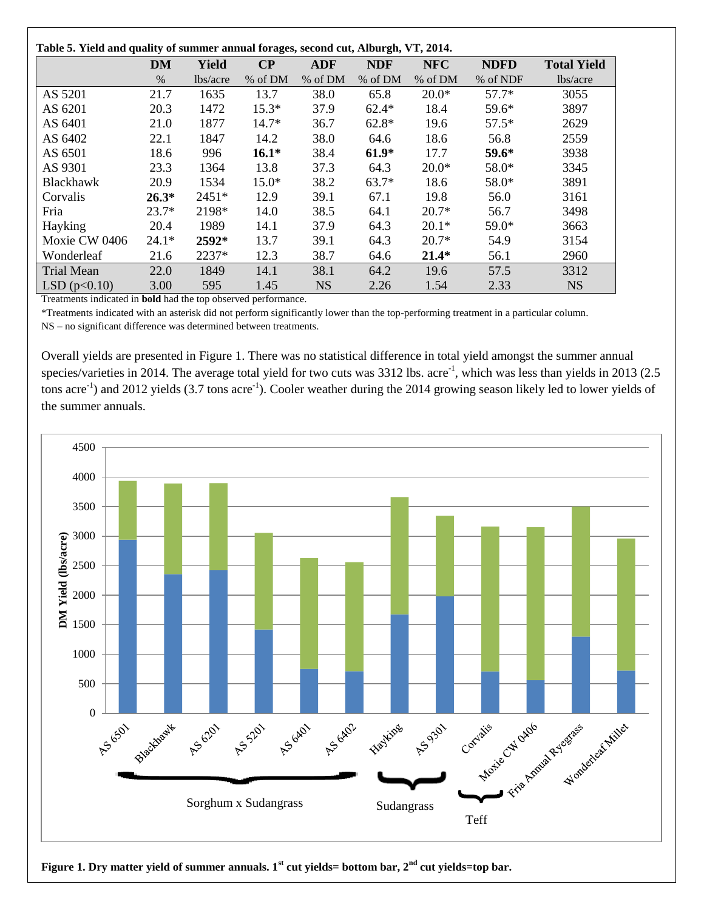| Table 5. Yield and quality of summer annual forages, second cut, Alburgh, VT, 2014. |           |          |          |            |            |            |             |                    |
|-------------------------------------------------------------------------------------|-----------|----------|----------|------------|------------|------------|-------------|--------------------|
|                                                                                     | <b>DM</b> | Yield    | $\bf CP$ | <b>ADF</b> | <b>NDF</b> | <b>NFC</b> | <b>NDFD</b> | <b>Total Yield</b> |
|                                                                                     | $\%$      | lbs/acre | % of DM  | % of DM    | % of DM    | % of DM    | % of NDF    | lbs/acre           |
| AS 5201                                                                             | 21.7      | 1635     | 13.7     | 38.0       | 65.8       | $20.0*$    | $57.7*$     | 3055               |
| AS 6201                                                                             | 20.3      | 1472     | $15.3*$  | 37.9       | $62.4*$    | 18.4       | 59.6*       | 3897               |
| AS 6401                                                                             | 21.0      | 1877     | $14.7*$  | 36.7       | $62.8*$    | 19.6       | $57.5*$     | 2629               |
| AS 6402                                                                             | 22.1      | 1847     | 14.2     | 38.0       | 64.6       | 18.6       | 56.8        | 2559               |
| AS 6501                                                                             | 18.6      | 996      | $16.1*$  | 38.4       | $61.9*$    | 17.7       | $59.6*$     | 3938               |
| AS 9301                                                                             | 23.3      | 1364     | 13.8     | 37.3       | 64.3       | $20.0*$    | $58.0*$     | 3345               |
| Blackhawk                                                                           | 20.9      | 1534     | $15.0*$  | 38.2       | $63.7*$    | 18.6       | 58.0*       | 3891               |
| Corvalis                                                                            | $26.3*$   | $2451*$  | 12.9     | 39.1       | 67.1       | 19.8       | 56.0        | 3161               |
| Fria                                                                                | $23.7*$   | 2198*    | 14.0     | 38.5       | 64.1       | $20.7*$    | 56.7        | 3498               |
| Hayking                                                                             | 20.4      | 1989     | 14.1     | 37.9       | 64.3       | $20.1*$    | 59.0*       | 3663               |
| Moxie CW 0406                                                                       | $24.1*$   | 2592*    | 13.7     | 39.1       | 64.3       | $20.7*$    | 54.9        | 3154               |
| Wonderleaf                                                                          | 21.6      | 2237*    | 12.3     | 38.7       | 64.6       | $21.4*$    | 56.1        | 2960               |
| <b>Trial Mean</b>                                                                   | 22.0      | 1849     | 14.1     | 38.1       | 64.2       | 19.6       | 57.5        | 3312               |
| LSD(p<0.10)                                                                         | 3.00      | 595      | 1.45     | <b>NS</b>  | 2.26       | 1.54       | 2.33        | <b>NS</b>          |

Treatments indicated in **bold** had the top observed performance.

\*Treatments indicated with an asterisk did not perform significantly lower than the top-performing treatment in a particular column. NS – no significant difference was determined between treatments.

Overall yields are presented in Figure 1. There was no statistical difference in total yield amongst the summer annual species/varieties in 2014. The average total yield for two cuts was  $3312$  lbs. acre<sup>-1</sup>, which was less than yields in 2013 (2.5) tons acre<sup>-1</sup>) and 2012 yields (3.7 tons acre<sup>-1</sup>). Cooler weather during the 2014 growing season likely led to lower yields of the summer annuals.



**Figure 1. Dry matter yield of summer annuals. 1st cut yields= bottom bar, 2nd cut yields=top bar.**